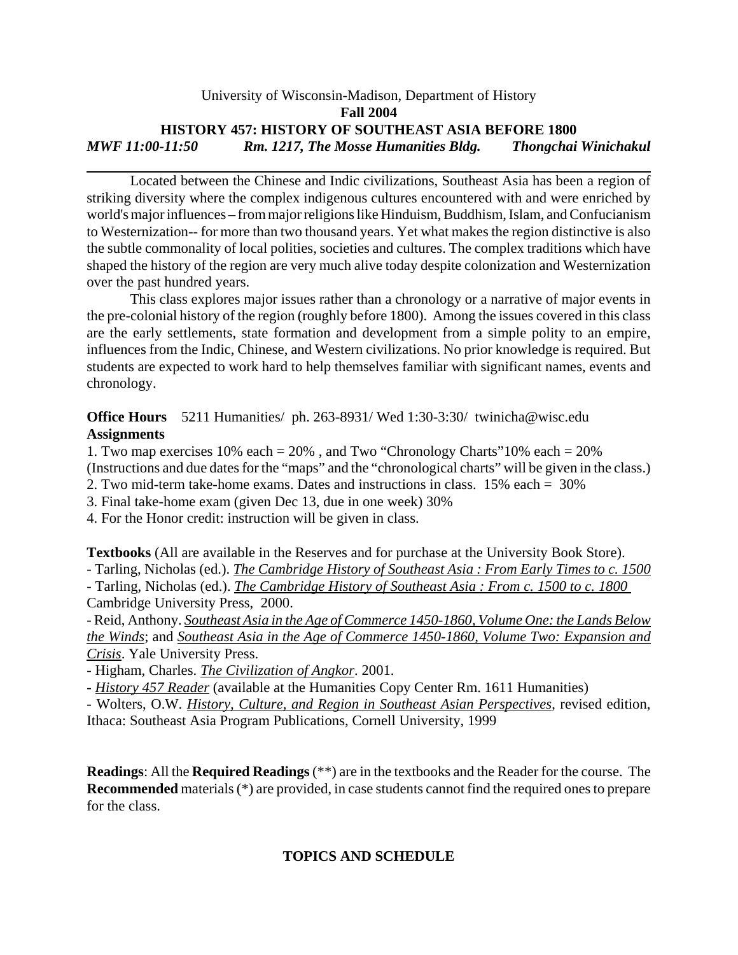### University of Wisconsin-Madison, Department of History **Fall 2004 HISTORY 457: HISTORY OF SOUTHEAST ASIA BEFORE 1800** *MWF 11:00-11:50 Rm. 1217, The Mosse Humanities Bldg. Thongchai Winichakul*

Located between the Chinese and Indic civilizations, Southeast Asia has been a region of striking diversity where the complex indigenous cultures encountered with and were enriched by world's major influences – from major religions like Hinduism, Buddhism, Islam, and Confucianism to Westernization-- for more than two thousand years. Yet what makes the region distinctive is also the subtle commonality of local polities, societies and cultures. The complex traditions which have shaped the history of the region are very much alive today despite colonization and Westernization over the past hundred years.

This class explores major issues rather than a chronology or a narrative of major events in the pre-colonial history of the region (roughly before 1800). Among the issues covered in this class are the early settlements, state formation and development from a simple polity to an empire, influences from the Indic, Chinese, and Western civilizations. No prior knowledge is required. But students are expected to work hard to help themselves familiar with significant names, events and chronology.

**Office Hours** 5211 Humanities/ ph. 263-8931/ Wed 1:30-3:30/ twinicha@wisc.edu **Assignments**

1. Two map exercises 10% each = 20% , and Two "Chronology Charts"10% each = 20% (Instructions and due dates for the "maps" and the "chronological charts" will be given in the class.)

- 2. Two mid-term take-home exams. Dates and instructions in class. 15% each = 30%
- 3. Final take-home exam (given Dec 13, due in one week) 30%
- 4. For the Honor credit: instruction will be given in class.

**Textbooks** (All are available in the Reserves and for purchase at the University Book Store).

- Tarling, Nicholas (ed.). *The Cambridge History of Southeast Asia : From Early Times to c. 1500*

- Tarling, Nicholas (ed.). *The Cambridge History of Southeast Asia : From c. 1500 to c. 1800*  Cambridge University Press, 2000.

- Reid, Anthony. *Southeast Asia in the Age of Commerce 1450-1860, Volume One: the Lands Below the Winds*; and *Southeast Asia in the Age of Commerce 1450-1860, Volume Two: Expansion and Crisis*. Yale University Press.

- Higham, Charles. *The Civilization of Angkor*. 2001.

- *History 457 Reader* (available at the Humanities Copy Center Rm. 1611 Humanities)

- Wolters, O.W. *History, Culture, and Region in Southeast Asian Perspectives*, revised edition, Ithaca: Southeast Asia Program Publications, Cornell University, 1999

**Readings**: All the **Required Readings** (\*\*) are in the textbooks and the Reader for the course. The **Recommended** materials (\*) are provided, in case students cannot find the required ones to prepare for the class.

## **TOPICS AND SCHEDULE**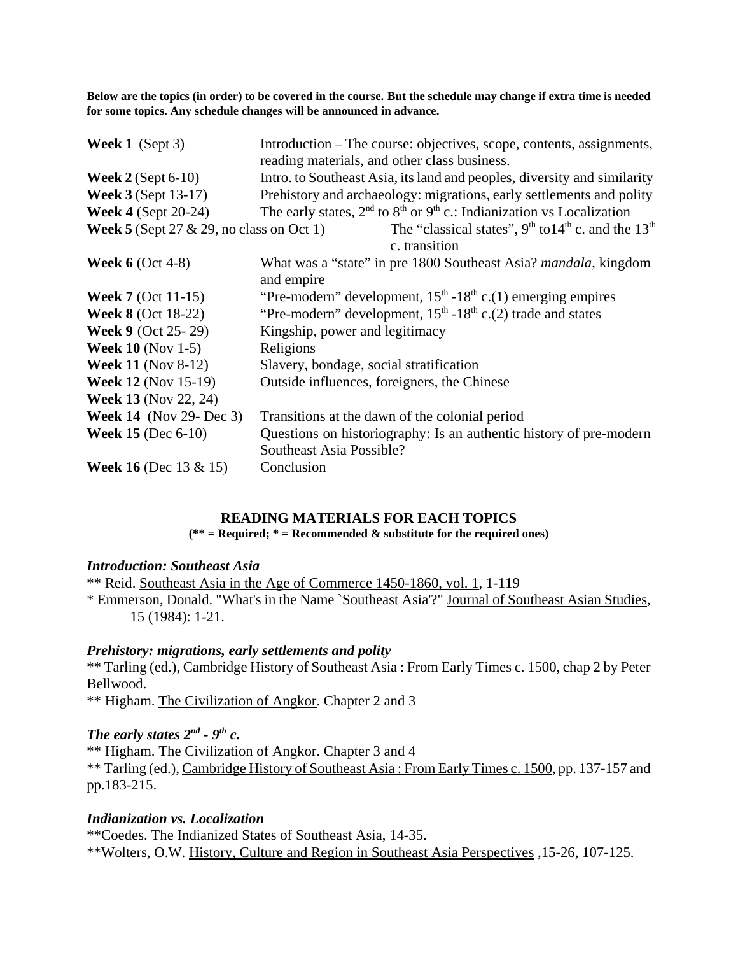**Below are the topics (in order) to be covered in the course. But the schedule may change if extra time is needed for some topics. Any schedule changes will be announced in advance.**

| <b>Week 1</b> (Sept 3)                             | Introduction – The course: objectives, scope, contents, assignments,<br>reading materials, and other class business. |
|----------------------------------------------------|----------------------------------------------------------------------------------------------------------------------|
| Week $2$ (Sept 6-10)                               | Intro. to Southeast Asia, its land and peoples, diversity and similarity                                             |
| <b>Week 3</b> (Sept 13-17)                         | Prehistory and archaeology: migrations, early settlements and polity                                                 |
| <b>Week 4</b> (Sept $20-24$ )                      | The early states, $2nd$ to $8th$ or $9th$ c.: Indianization vs Localization                                          |
| <b>Week 5</b> (Sept 27 $\&$ 29, no class on Oct 1) | The "classical states", $9th$ to $14th$ c. and the $13th$<br>c. transition                                           |
| Week $6$ (Oct 4-8)                                 | What was a "state" in pre 1800 Southeast Asia? <i>mandala</i> , kingdom<br>and empire                                |
| <b>Week 7 (Oct 11-15)</b>                          | "Pre-modern" development, $15th - 18th$ c.(1) emerging empires                                                       |
| <b>Week 8</b> (Oct 18-22)                          | "Pre-modern" development, $15th$ -18 <sup>th</sup> c.(2) trade and states                                            |
| <b>Week 9</b> (Oct 25-29)                          | Kingship, power and legitimacy                                                                                       |
| <b>Week 10</b> (Nov 1-5)                           | Religions                                                                                                            |
| <b>Week 11 (Nov 8-12)</b>                          | Slavery, bondage, social stratification                                                                              |
| <b>Week 12 (Nov 15-19)</b>                         | Outside influences, foreigners, the Chinese                                                                          |
| <b>Week 13</b> (Nov 22, 24)                        |                                                                                                                      |
| <b>Week 14</b> (Nov 29- Dec 3)                     | Transitions at the dawn of the colonial period                                                                       |
| <b>Week 15 (Dec 6-10)</b>                          | Questions on historiography: Is an authentic history of pre-modern<br>Southeast Asia Possible?                       |
| <b>Week 16</b> (Dec 13 & 15)                       | Conclusion                                                                                                           |

#### **READING MATERIALS FOR EACH TOPICS**

**(\*\* = Required; \* = Recommended & substitute for the required ones)**

#### *Introduction: Southeast Asia*

\*\* Reid. Southeast Asia in the Age of Commerce 1450-1860, vol. 1, 1-119 \* Emmerson, Donald. "What's in the Name `Southeast Asia'?" Journal of Southeast Asian Studies, 15 (1984): 1-21.

#### *Prehistory: migrations, early settlements and polity*

\*\* Tarling (ed.), Cambridge History of Southeast Asia : From Early Times c. 1500, chap 2 by Peter Bellwood.

\*\* Higham. The Civilization of Angkor. Chapter 2 and 3

## *The early states 2nd - 9th c.*

\*\* Higham. The Civilization of Angkor. Chapter 3 and 4

\*\* Tarling (ed.), Cambridge History of Southeast Asia : From Early Times c. 1500, pp. 137-157 and pp.183-215.

#### *Indianization vs. Localization*

\*\*Coedes. The Indianized States of Southeast Asia, 14-35. \*\*Wolters, O.W. History, Culture and Region in Southeast Asia Perspectives ,15-26, 107-125.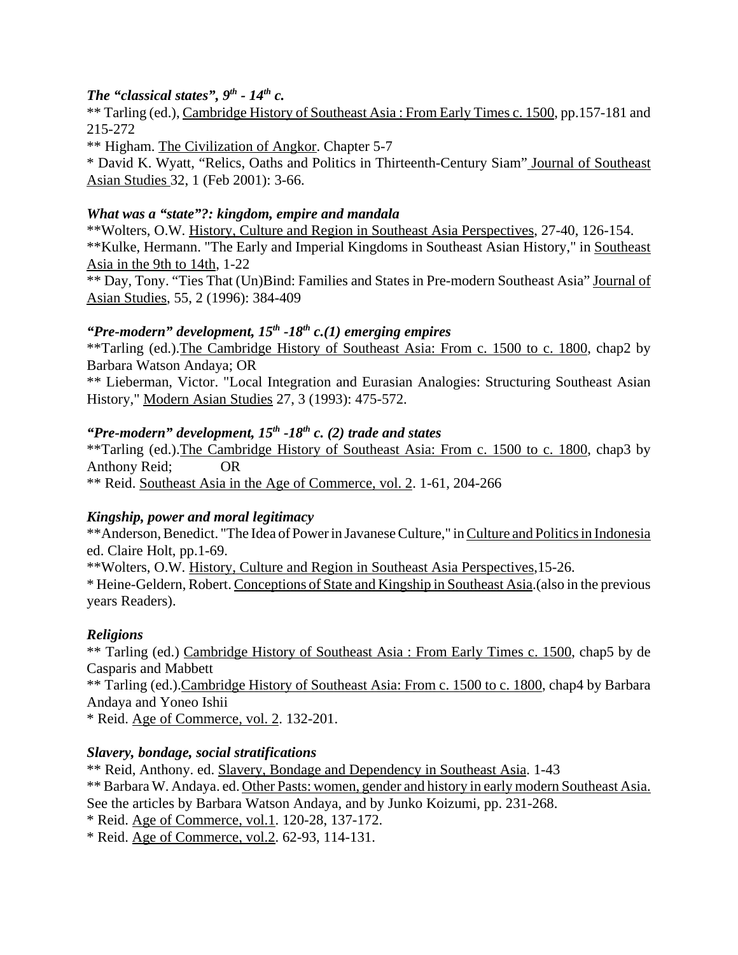## *The "classical states", 9<sup>th</sup> - 14<sup>th</sup> c.*

\*\* Tarling (ed.), Cambridge History of Southeast Asia : From Early Times c. 1500, pp.157-181 and 215-272

\*\* Higham. The Civilization of Angkor. Chapter 5-7

\* David K. Wyatt, "Relics, Oaths and Politics in Thirteenth-Century Siam" Journal of Southeast Asian Studies 32, 1 (Feb 2001): 3-66.

## *What was a "state"?: kingdom, empire and mandala*

\*\*Wolters, O.W. History, Culture and Region in Southeast Asia Perspectives, 27-40, 126-154. \*\*Kulke, Hermann. "The Early and Imperial Kingdoms in Southeast Asian History," in Southeast Asia in the 9th to 14th, 1-22

\*\* Day, Tony. "Ties That (Un)Bind: Families and States in Pre-modern Southeast Asia" Journal of Asian Studies, 55, 2 (1996): 384-409

## *"Pre-modern" development, 15<sup>th</sup> -18<sup>th</sup> c.(1) emerging empires*

\*\*Tarling (ed.).The Cambridge History of Southeast Asia: From c. 1500 to c. 1800, chap2 by Barbara Watson Andaya; OR \*\* Lieberman, Victor. "Local Integration and Eurasian Analogies: Structuring Southeast Asian

History," Modern Asian Studies 27, 3 (1993): 475-572.

## *"Pre-modern" development, 15<sup>th</sup> -18<sup>th</sup> c. (2) trade and states*

\*\*Tarling (ed.).The Cambridge History of Southeast Asia: From c. 1500 to c. 1800, chap3 by Anthony Reid; OR \*\* Reid. Southeast Asia in the Age of Commerce, vol. 2. 1-61, 204-266

## *Kingship, power and moral legitimacy*

\*\*Anderson, Benedict. "The Idea of Power in Javanese Culture," in Culture and Politics in Indonesia ed. Claire Holt, pp.1-69.

\*\*Wolters, O.W. History, Culture and Region in Southeast Asia Perspectives,15-26. \* Heine-Geldern, Robert. Conceptions of State and Kingship in Southeast Asia.(also in the previous years Readers).

## *Religions*

\*\* Tarling (ed.) Cambridge History of Southeast Asia : From Early Times c. 1500, chap5 by de Casparis and Mabbett \*\* Tarling (ed.).Cambridge History of Southeast Asia: From c. 1500 to c. 1800, chap4 by Barbara Andaya and Yoneo Ishii

\* Reid. Age of Commerce, vol. 2. 132-201.

## *Slavery, bondage, social stratifications*

\*\* Reid, Anthony. ed. Slavery, Bondage and Dependency in Southeast Asia. 1-43 \*\* Barbara W. Andaya. ed. Other Pasts: women, gender and history in early modern Southeast Asia. See the articles by Barbara Watson Andaya, and by Junko Koizumi, pp. 231-268. \* Reid. Age of Commerce, vol.1. 120-28, 137-172.

\* Reid. Age of Commerce, vol.2. 62-93, 114-131.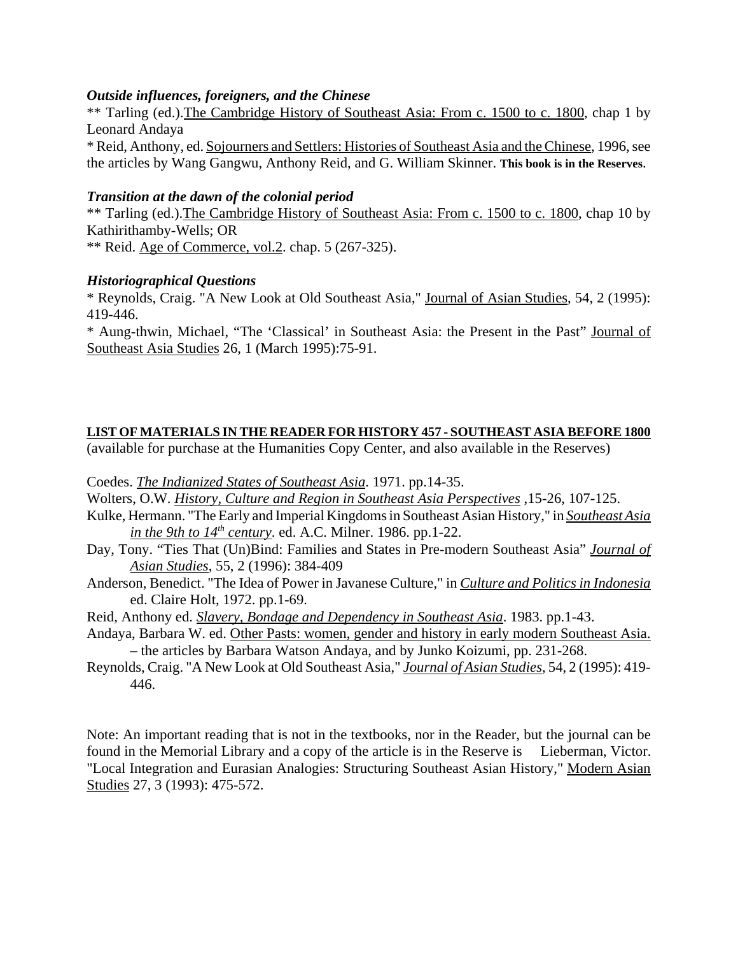#### *Outside influences, foreigners, and the Chinese*

\*\* Tarling (ed.).The Cambridge History of Southeast Asia: From c. 1500 to c. 1800, chap 1 by Leonard Andaya

\* Reid, Anthony, ed. Sojourners and Settlers: Histories of Southeast Asia and the Chinese, 1996, see the articles by Wang Gangwu, Anthony Reid, and G. William Skinner. **This book is in the Reserves**.

#### *Transition at the dawn of the colonial period*

\*\* Tarling (ed.).The Cambridge History of Southeast Asia: From c. 1500 to c. 1800, chap 10 by Kathirithamby-Wells; OR

\*\* Reid. Age of Commerce, vol.2. chap. 5 (267-325).

#### *Historiographical Questions*

\* Reynolds, Craig. "A New Look at Old Southeast Asia," Journal of Asian Studies, 54, 2 (1995): 419-446.

\* Aung-thwin, Michael, "The 'Classical' in Southeast Asia: the Present in the Past" Journal of Southeast Asia Studies 26, 1 (March 1995):75-91.

#### **LIST OF MATERIALS IN THE READER FOR HISTORY 457 - SOUTHEAST ASIA BEFORE 1800**

(available for purchase at the Humanities Copy Center, and also available in the Reserves)

Coedes. *The Indianized States of Southeast Asia*. 1971. pp.14-35.

Wolters, O.W. *History, Culture and Region in Southeast Asia Perspectives* ,15-26, 107-125.

- Kulke, Hermann. "The Early and Imperial Kingdoms in Southeast Asian History," in *Southeast Asia in the 9th to*  $14^{th}$  *century.* ed. A.C. Milner. 1986. pp.1-22.
- Day, Tony. "Ties That (Un)Bind: Families and States in Pre-modern Southeast Asia" *Journal of Asian Studies*, 55, 2 (1996): 384-409
- Anderson, Benedict. "The Idea of Power in Javanese Culture," in *Culture and Politics in Indonesia* ed. Claire Holt, 1972. pp.1-69.
- Reid, Anthony ed. *Slavery, Bondage and Dependency in Southeast Asia*. 1983. pp.1-43.
- Andaya, Barbara W. ed. Other Pasts: women, gender and history in early modern Southeast Asia. – the articles by Barbara Watson Andaya, and by Junko Koizumi, pp. 231-268.
- Reynolds, Craig. "A New Look at Old Southeast Asia," *Journal of Asian Studies*, 54, 2 (1995): 419- 446.

Note: An important reading that is not in the textbooks, nor in the Reader, but the journal can be found in the Memorial Library and a copy of the article is in the Reserve is Lieberman, Victor. "Local Integration and Eurasian Analogies: Structuring Southeast Asian History," Modern Asian Studies 27, 3 (1993): 475-572.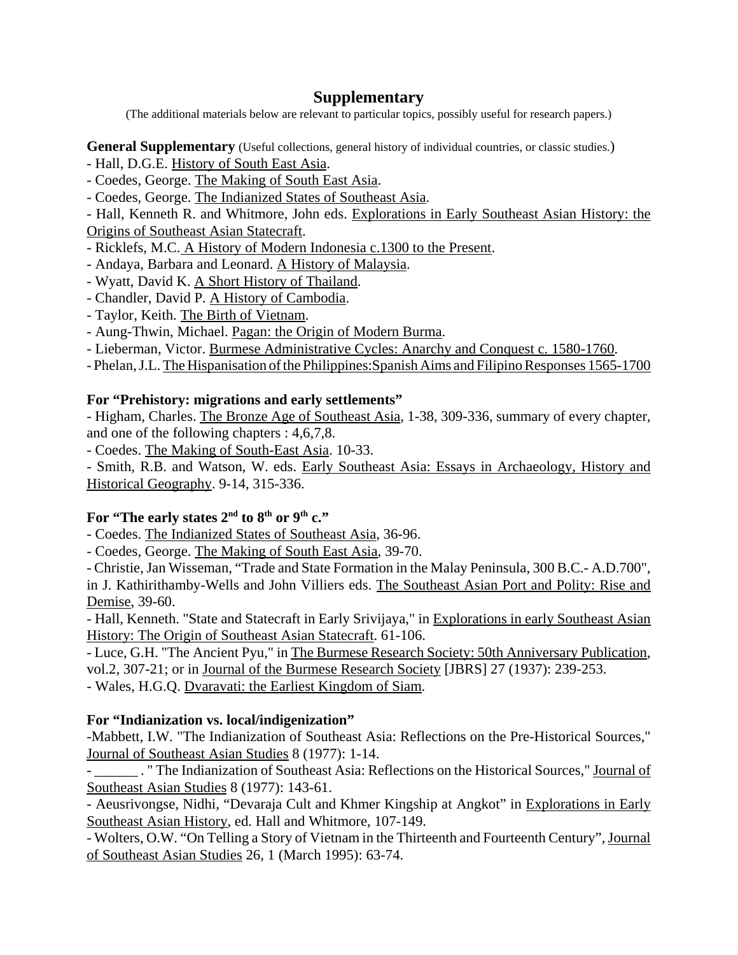## **Supplementary**

(The additional materials below are relevant to particular topics, possibly useful for research papers.)

**General Supplementary** (Useful collections, general history of individual countries, or classic studies.)

- Hall, D.G.E. History of South East Asia.
- Coedes, George. The Making of South East Asia.
- Coedes, George. The Indianized States of Southeast Asia.

- Hall, Kenneth R. and Whitmore, John eds. Explorations in Early Southeast Asian History: the Origins of Southeast Asian Statecraft.

- Ricklefs, M.C. A History of Modern Indonesia c.1300 to the Present.
- Andaya, Barbara and Leonard. A History of Malaysia.
- Wyatt, David K. A Short History of Thailand.
- Chandler, David P. A History of Cambodia.
- Taylor, Keith. The Birth of Vietnam.
- Aung-Thwin, Michael. Pagan: the Origin of Modern Burma.
- Lieberman, Victor. Burmese Administrative Cycles: Anarchy and Conquest c. 1580-1760.
- Phelan, J.L. The Hispanisation of the Philippines:Spanish Aims and Filipino Responses 1565-1700

## **For "Prehistory: migrations and early settlements"**

- Higham, Charles. The Bronze Age of Southeast Asia, 1-38, 309-336, summary of every chapter, and one of the following chapters : 4,6,7,8.

- Coedes. The Making of South-East Asia. 10-33.

- Smith, R.B. and Watson, W. eds. Early Southeast Asia: Essays in Archaeology, History and Historical Geography. 9-14, 315-336.

## For "The early states 2<sup>nd</sup> to 8<sup>th</sup> or 9<sup>th</sup> c."

- Coedes. The Indianized States of Southeast Asia, 36-96.

- Coedes, George. The Making of South East Asia, 39-70.

- Christie, Jan Wisseman, "Trade and State Formation in the Malay Peninsula, 300 B.C.- A.D.700", in J. Kathirithamby-Wells and John Villiers eds. The Southeast Asian Port and Polity: Rise and Demise, 39-60.

- Hall, Kenneth. "State and Statecraft in Early Srivijaya," in Explorations in early Southeast Asian History: The Origin of Southeast Asian Statecraft. 61-106.

- Luce, G.H. "The Ancient Pyu," in The Burmese Research Society: 50th Anniversary Publication, vol.2, 307-21; or in Journal of the Burmese Research Society [JBRS] 27 (1937): 239-253.

- Wales, H.G.Q. Dvaravati: the Earliest Kingdom of Siam.

## **For "Indianization vs. local/indigenization"**

-Mabbett, I.W. "The Indianization of Southeast Asia: Reflections on the Pre-Historical Sources," Journal of Southeast Asian Studies 8 (1977): 1-14.

- \_\_\_\_\_\_ . " The Indianization of Southeast Asia: Reflections on the Historical Sources," Journal of Southeast Asian Studies 8 (1977): 143-61.

- Aeusrivongse, Nidhi, "Devaraja Cult and Khmer Kingship at Angkot" in Explorations in Early Southeast Asian History, ed. Hall and Whitmore, 107-149.

- Wolters, O.W. "On Telling a Story of Vietnam in the Thirteenth and Fourteenth Century", Journal of Southeast Asian Studies 26, 1 (March 1995): 63-74.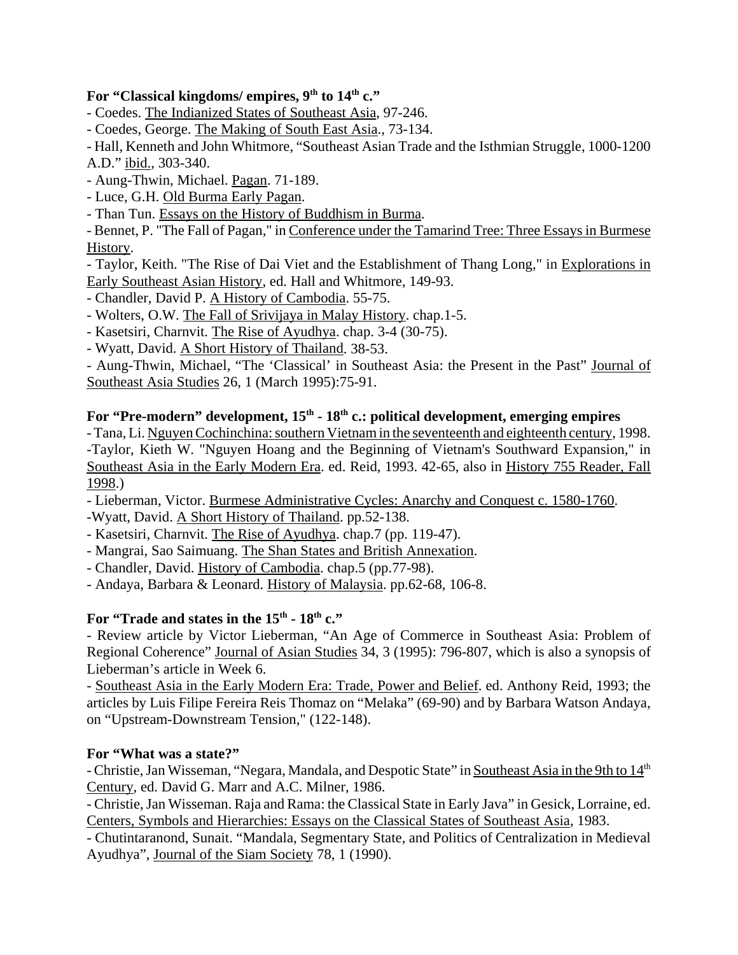## For "Classical kingdoms/ empires, 9<sup>th</sup> to 14<sup>th</sup> c."

- Coedes. The Indianized States of Southeast Asia, 97-246.
- Coedes, George. The Making of South East Asia., 73-134.

- Hall, Kenneth and John Whitmore, "Southeast Asian Trade and the Isthmian Struggle, 1000-1200 A.D." ibid., 303-340.

- Aung-Thwin, Michael. Pagan. 71-189.
- Luce, G.H. Old Burma Early Pagan.
- Than Tun. Essays on the History of Buddhism in Burma.

- Bennet, P. "The Fall of Pagan," in Conference under the Tamarind Tree: Three Essays in Burmese History.

- Taylor, Keith. "The Rise of Dai Viet and the Establishment of Thang Long," in Explorations in Early Southeast Asian History, ed. Hall and Whitmore, 149-93.

- Chandler, David P. A History of Cambodia. 55-75.
- Wolters, O.W. The Fall of Srivijaya in Malay History. chap.1-5.
- Kasetsiri, Charnvit. The Rise of Ayudhya. chap. 3-4 (30-75).
- Wyatt, David. A Short History of Thailand. 38-53.

- Aung-Thwin, Michael, "The 'Classical' in Southeast Asia: the Present in the Past" Journal of Southeast Asia Studies 26, 1 (March 1995):75-91.

## For "Pre-modern" development, 15<sup>th</sup> - 18<sup>th</sup> c.: political development, emerging empires

- Tana, Li. Nguyen Cochinchina: southern Vietnam in the seventeenth and eighteenth century, 1998. -Taylor, Kieth W. "Nguyen Hoang and the Beginning of Vietnam's Southward Expansion," in Southeast Asia in the Early Modern Era. ed. Reid, 1993. 42-65, also in History 755 Reader, Fall 1998.)

- Lieberman, Victor. Burmese Administrative Cycles: Anarchy and Conquest c. 1580-1760.
- -Wyatt, David. A Short History of Thailand. pp.52-138.
- Kasetsiri, Charnvit. The Rise of Ayudhya. chap.7 (pp. 119-47).
- Mangrai, Sao Saimuang. The Shan States and British Annexation.
- Chandler, David. History of Cambodia. chap.5 (pp.77-98).
- Andaya, Barbara & Leonard. History of Malaysia. pp.62-68, 106-8.

## For "Trade and states in the 15<sup>th</sup> - 18<sup>th</sup> c."

- Review article by Victor Lieberman, "An Age of Commerce in Southeast Asia: Problem of Regional Coherence" Journal of Asian Studies 34, 3 (1995): 796-807, which is also a synopsis of Lieberman's article in Week 6.

- Southeast Asia in the Early Modern Era: Trade, Power and Belief. ed. Anthony Reid, 1993; the articles by Luis Filipe Fereira Reis Thomaz on "Melaka" (69-90) and by Barbara Watson Andaya, on "Upstream-Downstream Tension," (122-148).

#### **For "What was a state?"**

- Christie, Jan Wisseman, "Negara, Mandala, and Despotic State" in Southeast Asia in the 9th to 14<sup>th</sup> Century, ed. David G. Marr and A.C. Milner, 1986.

- Christie, Jan Wisseman. Raja and Rama: the Classical State in Early Java" in Gesick, Lorraine, ed. Centers, Symbols and Hierarchies: Essays on the Classical States of Southeast Asia, 1983.

- Chutintaranond, Sunait. "Mandala, Segmentary State, and Politics of Centralization in Medieval Ayudhya", Journal of the Siam Society 78, 1 (1990).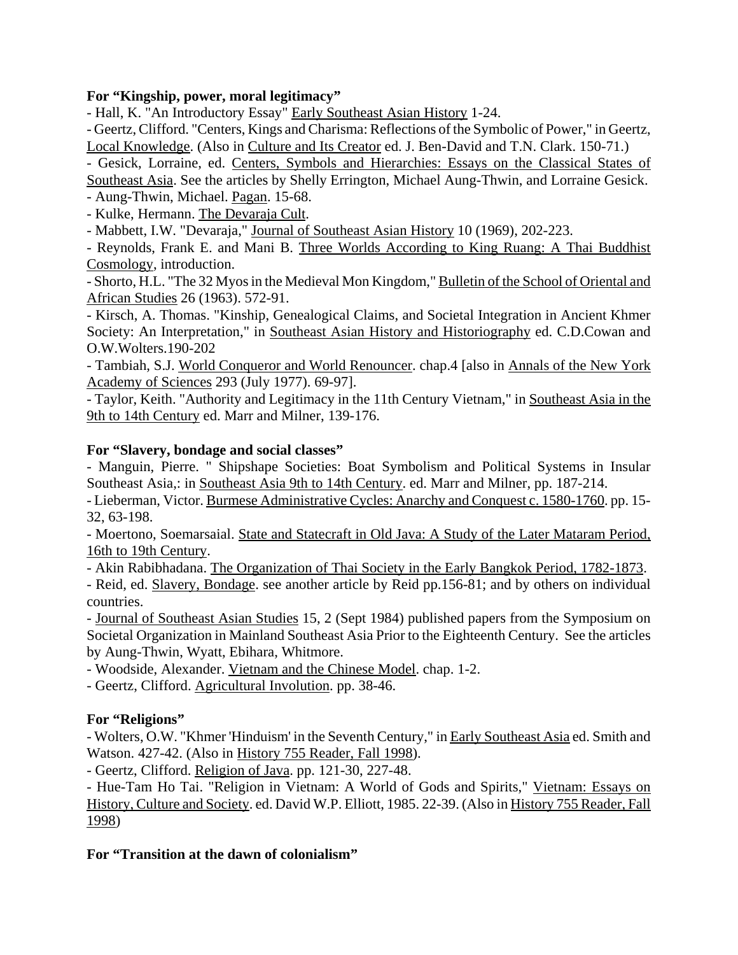## **For "Kingship, power, moral legitimacy"**

- Hall, K. "An Introductory Essay" Early Southeast Asian History 1-24.

- Geertz, Clifford. "Centers, Kings and Charisma: Reflections of the Symbolic of Power," in Geertz, Local Knowledge. (Also in Culture and Its Creator ed. J. Ben-David and T.N. Clark. 150-71.)

- Gesick, Lorraine, ed. Centers, Symbols and Hierarchies: Essays on the Classical States of Southeast Asia. See the articles by Shelly Errington, Michael Aung-Thwin, and Lorraine Gesick.

- Aung-Thwin, Michael. Pagan. 15-68.

- Kulke, Hermann. The Devaraja Cult.

- Mabbett, I.W. "Devaraja," Journal of Southeast Asian History 10 (1969), 202-223.

- Reynolds, Frank E. and Mani B. Three Worlds According to King Ruang: A Thai Buddhist Cosmology, introduction.

- Shorto, H.L. "The 32 Myos in the Medieval Mon Kingdom," Bulletin of the School of Oriental and African Studies 26 (1963). 572-91.

- Kirsch, A. Thomas. "Kinship, Genealogical Claims, and Societal Integration in Ancient Khmer Society: An Interpretation," in Southeast Asian History and Historiography ed. C.D.Cowan and O.W.Wolters.190-202

- Tambiah, S.J. World Conqueror and World Renouncer. chap.4 [also in Annals of the New York Academy of Sciences 293 (July 1977). 69-97].

- Taylor, Keith. "Authority and Legitimacy in the 11th Century Vietnam," in Southeast Asia in the 9th to 14th Century ed. Marr and Milner, 139-176.

### **For "Slavery, bondage and social classes"**

- Manguin, Pierre. " Shipshape Societies: Boat Symbolism and Political Systems in Insular Southeast Asia,: in Southeast Asia 9th to 14th Century. ed. Marr and Milner, pp. 187-214.

- Lieberman, Victor. Burmese Administrative Cycles: Anarchy and Conquest c. 1580-1760. pp. 15- 32, 63-198.

- Moertono, Soemarsaial. State and Statecraft in Old Java: A Study of the Later Mataram Period, 16th to 19th Century.

- Akin Rabibhadana. The Organization of Thai Society in the Early Bangkok Period, 1782-1873.

- Reid, ed. Slavery, Bondage. see another article by Reid pp.156-81; and by others on individual countries.

- Journal of Southeast Asian Studies 15, 2 (Sept 1984) published papers from the Symposium on Societal Organization in Mainland Southeast Asia Prior to the Eighteenth Century. See the articles by Aung-Thwin, Wyatt, Ebihara, Whitmore.

- Woodside, Alexander. Vietnam and the Chinese Model. chap. 1-2.

- Geertz, Clifford. Agricultural Involution. pp. 38-46.

## **For "Religions"**

- Wolters, O.W. "Khmer 'Hinduism' in the Seventh Century," in Early Southeast Asia ed. Smith and Watson. 427-42. (Also in History 755 Reader, Fall 1998).

- Geertz, Clifford. Religion of Java. pp. 121-30, 227-48.

- Hue-Tam Ho Tai. "Religion in Vietnam: A World of Gods and Spirits," Vietnam: Essays on History, Culture and Society. ed. David W.P. Elliott, 1985. 22-39. (Also in History 755 Reader, Fall 1998)

## **For "Transition at the dawn of colonialism"**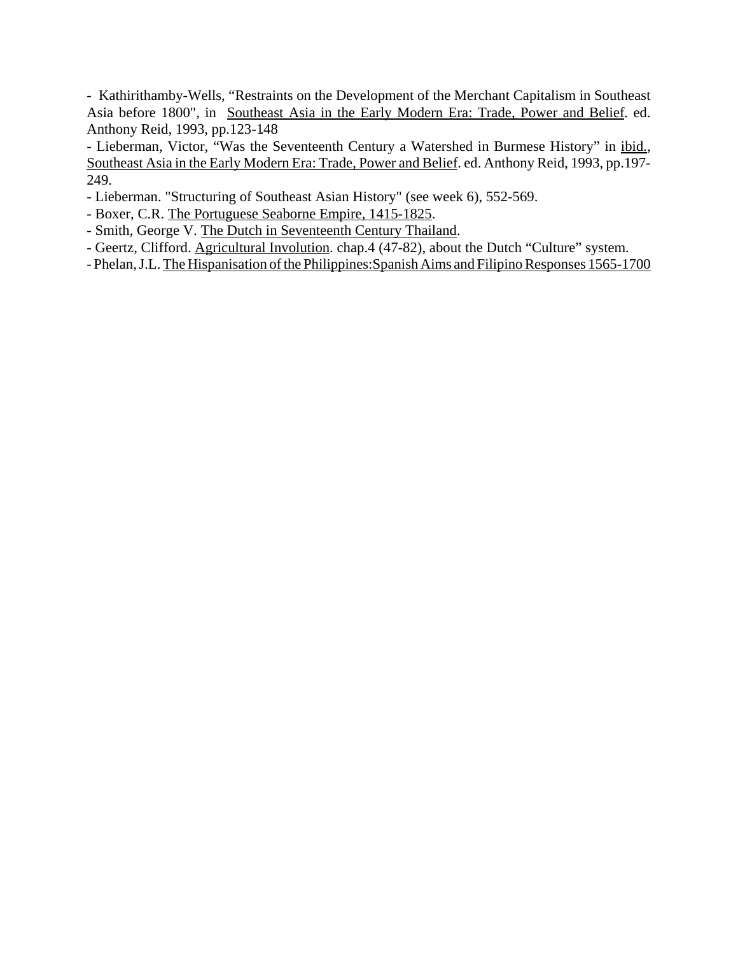- Kathirithamby-Wells, "Restraints on the Development of the Merchant Capitalism in Southeast Asia before 1800", in Southeast Asia in the Early Modern Era: Trade, Power and Belief. ed. Anthony Reid, 1993, pp.123-148 .

- Lieberman, Victor, "Was the Seventeenth Century a Watershed in Burmese History" in ibid., Southeast Asia in the Early Modern Era: Trade, Power and Belief. ed. Anthony Reid, 1993, pp.197- 249.

- Lieberman. "Structuring of Southeast Asian History" (see week 6), 552-569.
- Boxer, C.R. The Portuguese Seaborne Empire, 1415-1825.
- Smith, George V. The Dutch in Seventeenth Century Thailand.
- Geertz, Clifford. Agricultural Involution. chap.4 (47-82), about the Dutch "Culture" system.
- Phelan, J.L. The Hispanisation of the Philippines:Spanish Aims and Filipino Responses 1565-1700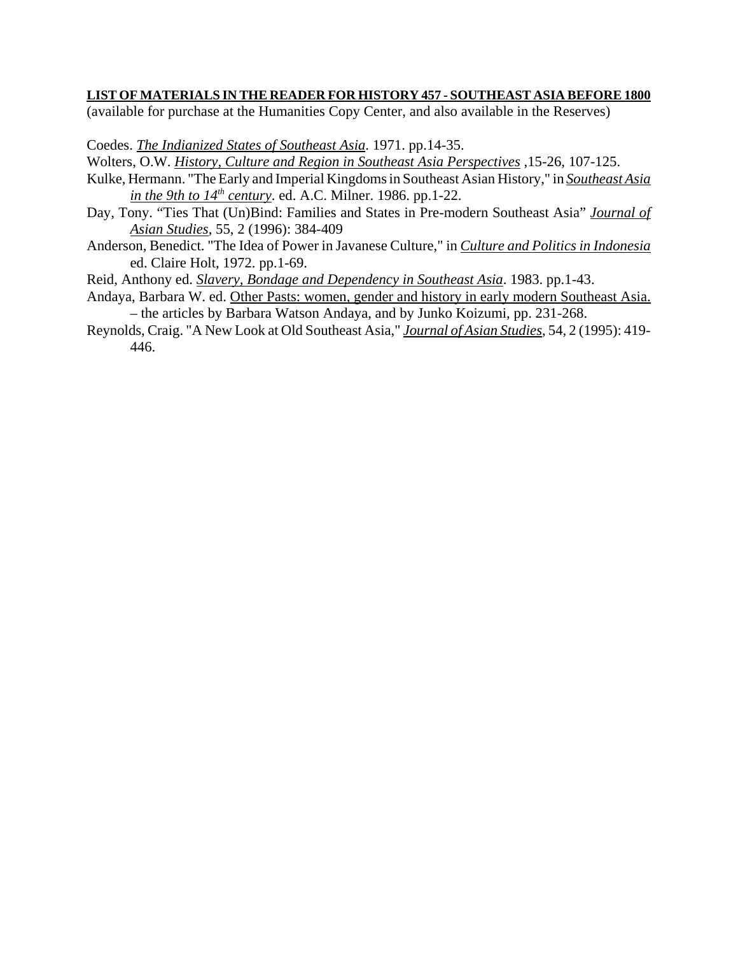#### **LIST OF MATERIALS IN THE READER FOR HISTORY 457 - SOUTHEAST ASIA BEFORE 1800**

(available for purchase at the Humanities Copy Center, and also available in the Reserves)

Coedes. *The Indianized States of Southeast Asia*. 1971. pp.14-35.

Wolters, O.W. *History, Culture and Region in Southeast Asia Perspectives* ,15-26, 107-125.

- Kulke, Hermann. "The Early and Imperial Kingdoms in Southeast Asian History," in *Southeast Asia in the 9th to*  $14<sup>th</sup>$  *century.* ed. A.C. Milner. 1986. pp.1-22.
- Day, Tony. "Ties That (Un)Bind: Families and States in Pre-modern Southeast Asia" *Journal of Asian Studies*, 55, 2 (1996): 384-409
- Anderson, Benedict. "The Idea of Power in Javanese Culture," in *Culture and Politics in Indonesia* ed. Claire Holt, 1972. pp.1-69.
- Reid, Anthony ed. *Slavery, Bondage and Dependency in Southeast Asia*. 1983. pp.1-43.
- Andaya, Barbara W. ed. Other Pasts: women, gender and history in early modern Southeast Asia. – the articles by Barbara Watson Andaya, and by Junko Koizumi, pp. 231-268.
- Reynolds, Craig. "A New Look at Old Southeast Asia," *Journal of Asian Studies*, 54, 2 (1995): 419- 446.